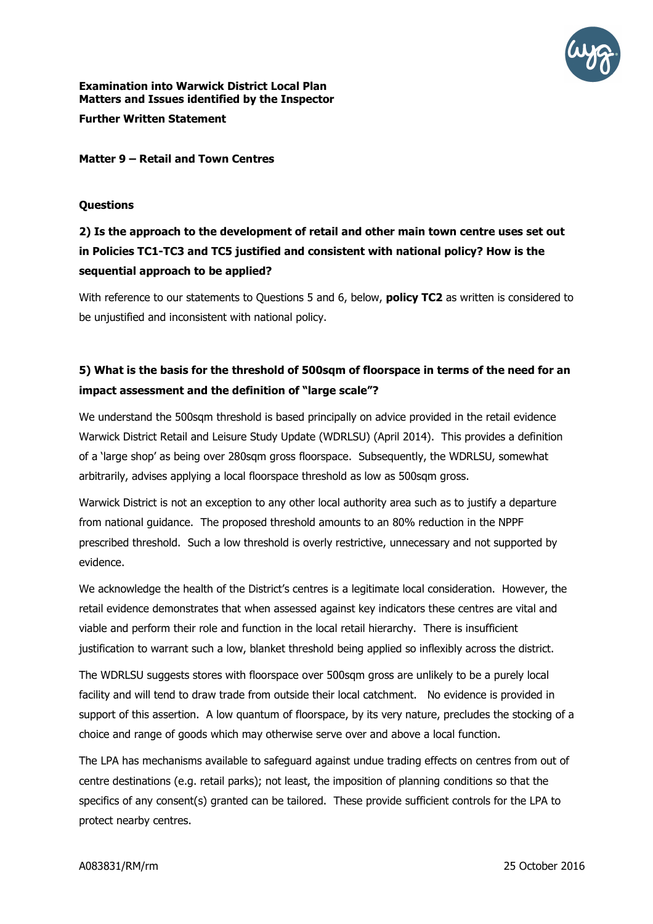

### Examination into Warwick District Local Plan Matters and Issues identified by the Inspector

Further Written Statement

Matter 9 – Retail and Town Centres

#### **Questions**

# 2) Is the approach to the development of retail and other main town centre uses set out in Policies TC1-TC3 and TC5 justified and consistent with national policy? How is the sequential approach to be applied?

With reference to our statements to Questions 5 and 6, below, **policy TC2** as written is considered to be unjustified and inconsistent with national policy.

## 5) What is the basis for the threshold of 500sqm of floorspace in terms of the need for an impact assessment and the definition of "large scale"?

We understand the 500sqm threshold is based principally on advice provided in the retail evidence Warwick District Retail and Leisure Study Update (WDRLSU) (April 2014). This provides a definition of a 'large shop' as being over 280sqm gross floorspace. Subsequently, the WDRLSU, somewhat arbitrarily, advises applying a local floorspace threshold as low as 500sqm gross.

Warwick District is not an exception to any other local authority area such as to justify a departure from national guidance. The proposed threshold amounts to an 80% reduction in the NPPF prescribed threshold. Such a low threshold is overly restrictive, unnecessary and not supported by evidence.

We acknowledge the health of the District's centres is a legitimate local consideration. However, the retail evidence demonstrates that when assessed against key indicators these centres are vital and viable and perform their role and function in the local retail hierarchy. There is insufficient justification to warrant such a low, blanket threshold being applied so inflexibly across the district.

The WDRLSU suggests stores with floorspace over 500sqm gross are unlikely to be a purely local facility and will tend to draw trade from outside their local catchment. No evidence is provided in support of this assertion. A low quantum of floorspace, by its very nature, precludes the stocking of a choice and range of goods which may otherwise serve over and above a local function.

The LPA has mechanisms available to safeguard against undue trading effects on centres from out of centre destinations (e.g. retail parks); not least, the imposition of planning conditions so that the specifics of any consent(s) granted can be tailored. These provide sufficient controls for the LPA to protect nearby centres.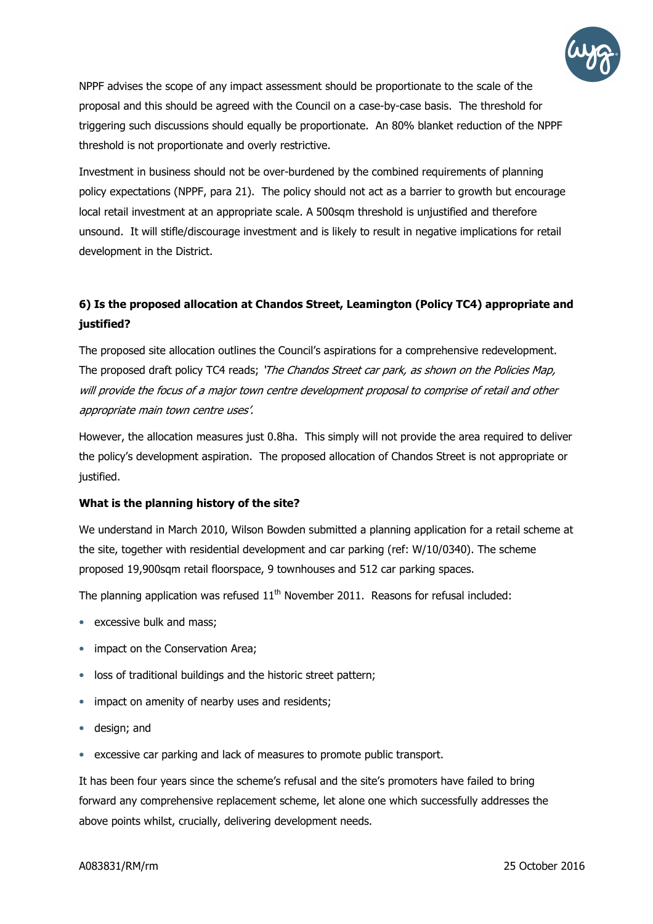

NPPF advises the scope of any impact assessment should be proportionate to the scale of the proposal and this should be agreed with the Council on a case-by-case basis. The threshold for triggering such discussions should equally be proportionate. An 80% blanket reduction of the NPPF threshold is not proportionate and overly restrictive.

Investment in business should not be over-burdened by the combined requirements of planning policy expectations (NPPF, para 21). The policy should not act as a barrier to growth but encourage local retail investment at an appropriate scale. A 500sqm threshold is unjustified and therefore unsound. It will stifle/discourage investment and is likely to result in negative implications for retail development in the District.

# 6) Is the proposed allocation at Chandos Street, Leamington (Policy TC4) appropriate and justified?

The proposed site allocation outlines the Council's aspirations for a comprehensive redevelopment. The proposed draft policy TC4 reads; 'The Chandos Street car park, as shown on the Policies Map, will provide the focus of a major town centre development proposal to comprise of retail and other appropriate main town centre uses'.

However, the allocation measures just 0.8ha. This simply will not provide the area required to deliver the policy's development aspiration. The proposed allocation of Chandos Street is not appropriate or justified.

### What is the planning history of the site?

We understand in March 2010, Wilson Bowden submitted a planning application for a retail scheme at the site, together with residential development and car parking (ref: W/10/0340). The scheme proposed 19,900sqm retail floorspace, 9 townhouses and 512 car parking spaces.

The planning application was refused  $11<sup>th</sup>$  November 2011. Reasons for refusal included:

- excessive bulk and mass;
- impact on the Conservation Area;
- loss of traditional buildings and the historic street pattern;
- impact on amenity of nearby uses and residents;
- design; and
- excessive car parking and lack of measures to promote public transport.

It has been four years since the scheme's refusal and the site's promoters have failed to bring forward any comprehensive replacement scheme, let alone one which successfully addresses the above points whilst, crucially, delivering development needs.